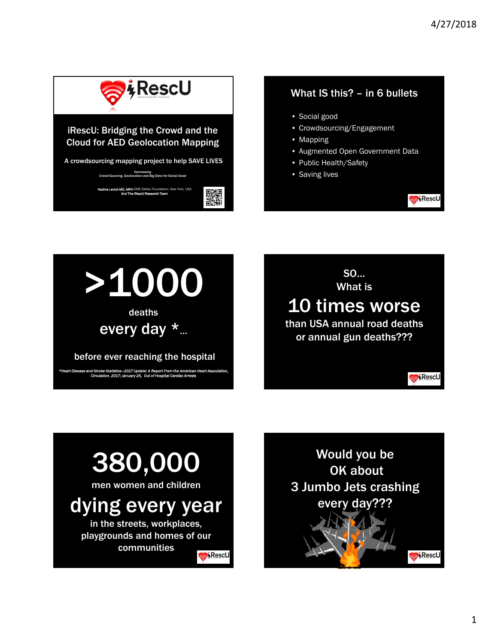

#### iRescU: Bridging the Crowd and the Cloud for AED Geolocation Mapping

A crowdsourcing mapping project to help SAVE LIVES

Harnessing Crowd Sourcing, Geolocation and Big Data for Social Good

**Nadine Levick MD, MPH** EMS Safety Foundation, New York, USA<br>And The iRescU Research Team

**の話をする** 

#### What IS this? – in 6 bullets

- Social good
- Crowdsourcing/Engagement
- Mapping
- Augmented Open Government Data
- Public Health/Safety
- Saving lives









# dying every year

in the streets, workplaces, playgrounds and homes of our communities

Rescu



RescU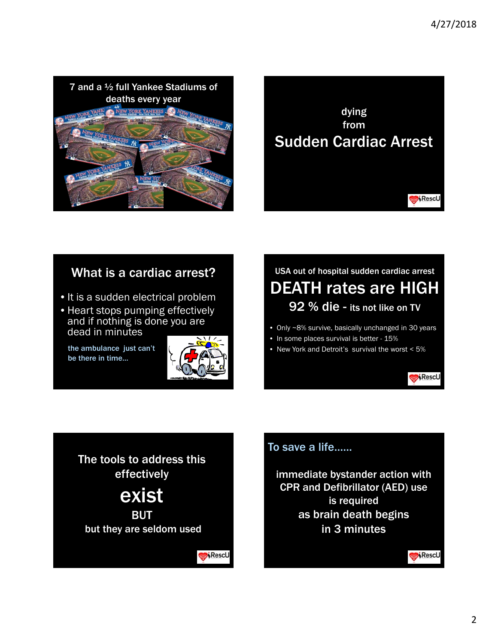



### What is a cardiac arrest?

- It is a sudden electrical problem
- Heart stops pumping effectively and if nothing is done you are dead in minutes

the ambulance just can't be there in time…



Rescu

## USA out of hospital sudden cardiac arrest DEATH rates are HIGH 92 % die - its not like on TV

- Only ~8% survive, basically unchanged in 30 years
- In some places survival is better 15%
- New York and Detroit's survival the worst < 5%



**BUT** but they are seldom used To save a life……

immediate bystander action with CPR and Defibrillator (AED) use is required as brain death begins in 3 minutes

Rescu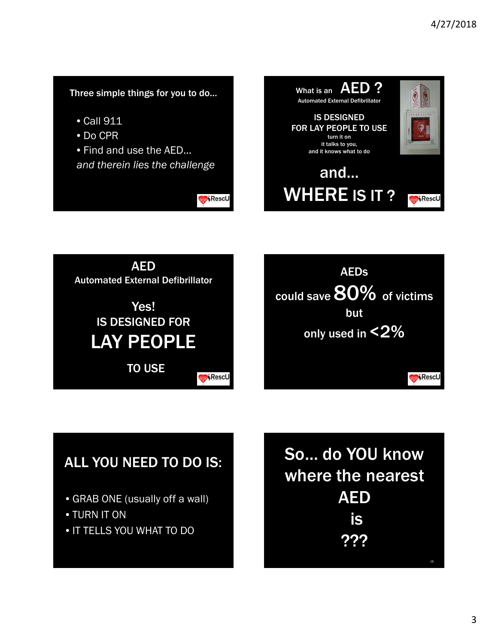#### Three simple things for you to do…

- Call 911
- Do CPR
- Find and use the AED...

*and therein lies the challenge*

Rescu







# ALL YOU NEED TO DO IS:

- GRAB ONE (usually off a wall)
- TURN IT ON
- IT TELLS YOU WHAT TO DO

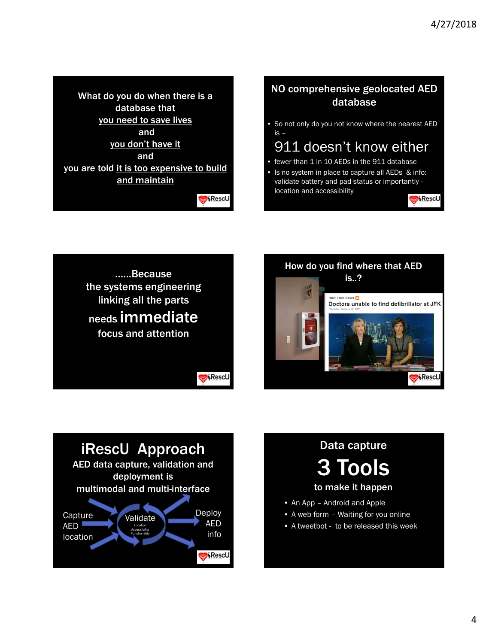What do you do when there is a database that you need to save lives and you don't have it and you are told it is too expensive to build and maintain

Rescu

#### NO comprehensive geolocated AED database

• So not only do you not know where the nearest AED is –

# 911 doesn't know either

- fewer than 1 in 10 AEDs in the 911 database
- Is no system in place to capture all AEDs & info: validate battery and pad status or importantly location and accessibility

RescU







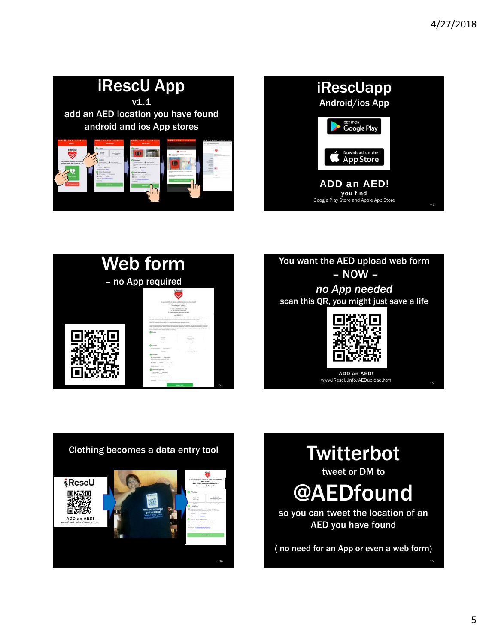









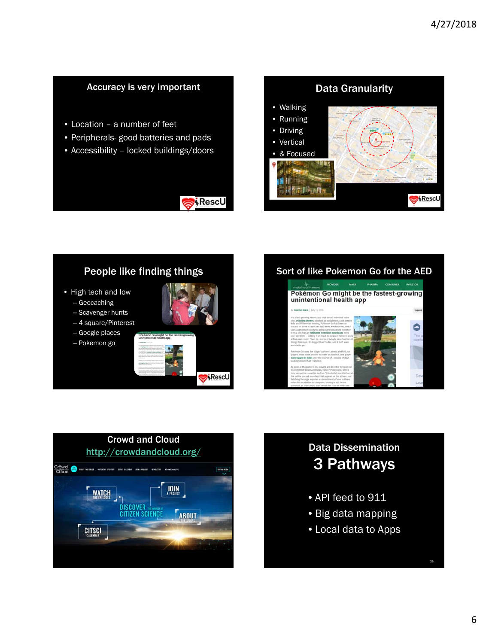#### Accuracy is very important

- Location a number of feet
- Peripherals- good batteries and pads
- Accessibility locked buildings/doors



RescU

#### People like finding things

- High tech and low
	- Geocaching
	- Scavenger hunts
	- 4 square/Pinterest –
	- Google places
	- Pokemon go



Sort of like Pokemon Go for the AED





# 3 Pathways

- API feed to 911
- Big data mapping
- Local data to Apps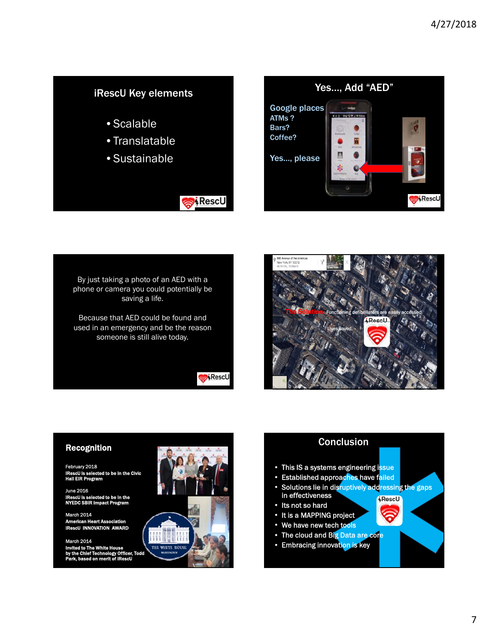#### iRescU Key elements

- Scalable
- Translatable
- Sustainable



By just taking a photo of an AED with a phone or camera you could potentially be saving a life.

Because that AED could be found and used in an emergency and be the reason someone is still alive today.

**Rescu** 

**RescU** 



#### Recognition

February 2018 to be in the Civic Hall EIR Program

June 2016 iRescU is selected to be in the NYEDC SBIR Impact Program

March 2014 can Heart / cU INNOVATION AWA

12014 Invited to The White House by the Chief Technology Officer, Todd Park, based on merit of iRescU